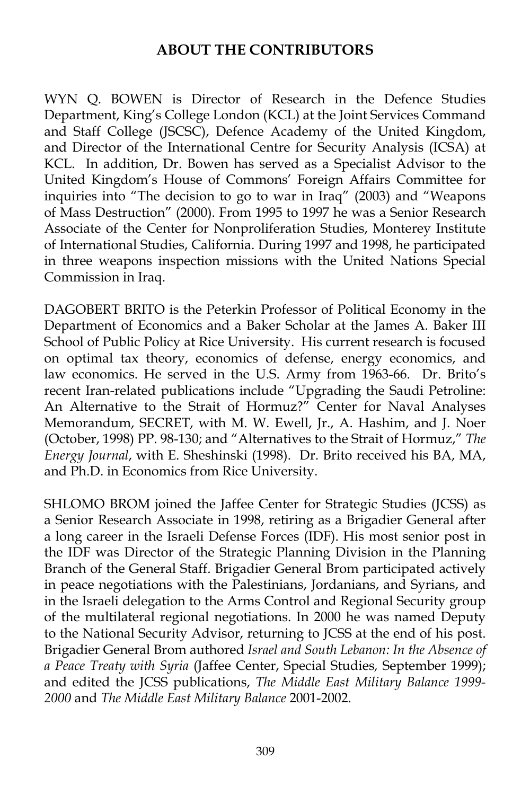## **ABOUT THE CONTRIBUTORS**

WYN Q. BOWEN is Director of Research in the Defence Studies Department, King's College London (KCL) at the Joint Services Command and Staff College (JSCSC), Defence Academy of the United Kingdom, and Director of the International Centre for Security Analysis (ICSA) at KCL. In addition, Dr. Bowen has served as a Specialist Advisor to the United Kingdom's House of Commons' Foreign Affairs Committee for inquiries into "The decision to go to war in Iraq" (2003) and "Weapons of Mass Destruction" (2000). From 1995 to 1997 he was a Senior Research Associate of the Center for Nonproliferation Studies, Monterey Institute of International Studies, California. During 1997 and 1998, he participated in three weapons inspection missions with the United Nations Special Commission in Iraq.

DAGOBERT BRITO is the Peterkin Professor of Political Economy in the Department of Economics and a Baker Scholar at the James A. Baker III School of Public Policy at Rice University. His current research is focused on optimal tax theory, economics of defense, energy economics, and law economics. He served in the U.S. Army from 1963-66. Dr. Brito's recent Iran-related publications include "Upgrading the Saudi Petroline: An Alternative to the Strait of Hormuz?" Center for Naval Analyses Memorandum, SECRET, with M. W. Ewell, Jr., A. Hashim, and J. Noer (October, 1998) PP. 98-130; and "Alternatives to the Strait of Hormuz," *The Energy Journal*, with E. Sheshinski (1998). Dr. Brito received his BA, MA, and Ph.D. in Economics from Rice University.

SHLOMO BROM joined the Jaffee Center for Strategic Studies (JCSS) as a Senior Research Associate in 1998, retiring as a Brigadier General after a long career in the Israeli Defense Forces (IDF). His most senior post in the IDF was Director of the Strategic Planning Division in the Planning Branch of the General Staff. Brigadier General Brom participated actively in peace negotiations with the Palestinians, Jordanians, and Syrians, and in the Israeli delegation to the Arms Control and Regional Security group of the multilateral regional negotiations. In 2000 he was named Deputy to the National Security Advisor, returning to JCSS at the end of his post. Brigadier General Brom authored *Israel and South Lebanon: In the Absence of a Peace Treaty with Syria* (Jaffee Center, Special Studies*,* September 1999); and edited the JCSS publications, *The Middle East Military Balance 1999- 2000* and *The Middle East Military Balance* 2001-2002.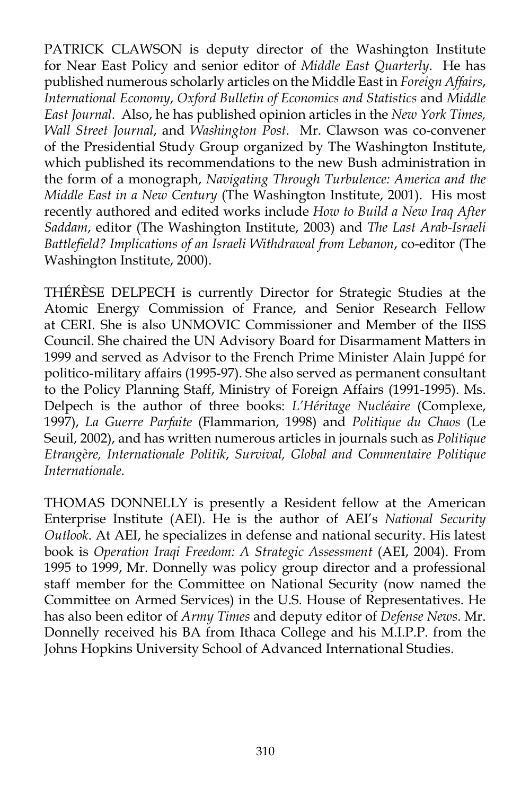PATRICK CLAWSON is deputy director of the Washington Institute for Near East Policy and senior editor of *Middle East Quarterly*. He has published numerous scholarly articles on the Middle East in *Foreign Affairs*, *International Economy*, *Oxford Bulletin of Economics and Statistics* and *Middle East Journal*. Also, he has published opinion articles in the *New York Times, Wall Street Journal*, and *Washington Post*. Mr. Clawson was co-convener of the Presidential Study Group organized by The Washington Institute, which published its recommendations to the new Bush administration in the form of a monograph, *Navigating Through Turbulence: America and the Middle East in a New Century* (The Washington Institute, 2001). His most recently authored and edited works include *How to Build a New Iraq After Saddam*, editor (The Washington Institute, 2003) and *The Last Arab-Israeli Battlefield? Implications of an Israeli Withdrawal from Lebanon*, co-editor (The Washington Institute, 2000).

THÉRÈSE DELPECH is currently Director for Strategic Studies at the Atomic Energy Commission of France, and Senior Research Fellow at CERI. She is also UNMOVIC Commissioner and Member of the IISS Council. She chaired the UN Advisory Board for Disarmament Matters in 1999 and served as Advisor to the French Prime Minister Alain Juppé for politico-military affairs (1995-97). She also served as permanent consultant to the Policy Planning Staff, Ministry of Foreign Affairs (1991-1995). Ms. Delpech is the author of three books: *L'Héritage Nucléaire* (Complexe, 1997), *La Guerre Parfaite* (Flammarion, 1998) and *Politique du Chaos* (Le Seuil, 2002), and has written numerous articles in journals such as *Politique Etrangère, Internationale Politik*, *Survival, Global and Commentaire Politique Internationale.*

THOMAS DONNELLY is presently a Resident fellow at the American Enterprise Institute (AEI). He is the author of AEI's *National Security Outlook*. At AEI, he specializes in defense and national security. His latest book is *Operation Iraqi Freedom: A Strategic Assessment* (AEI, 2004). From 1995 to 1999, Mr. Donnelly was policy group director and a professional staff member for the Committee on National Security (now named the Committee on Armed Services) in the U.S. House of Representatives. He has also been editor of *Army Times* and deputy editor of *Defense News*. Mr. Donnelly received his BA from Ithaca College and his M.I.P.P. from the Johns Hopkins University School of Advanced International Studies.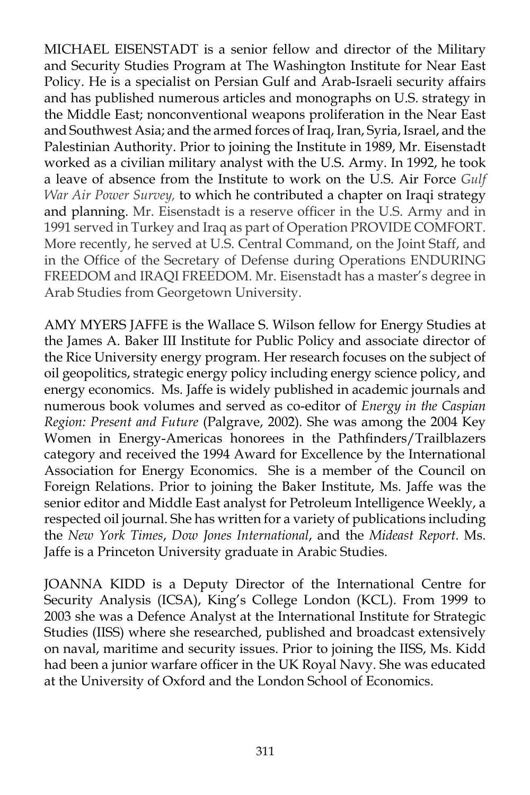MICHAEL EISENSTADT is a senior fellow and director of the Military and Security Studies Program at The Washington Institute for Near East Policy. He is a specialist on Persian Gulf and Arab-Israeli security affairs and has published numerous articles and monographs on U.S. strategy in the Middle East; nonconventional weapons proliferation in the Near East and Southwest Asia; and the armed forces of Iraq, Iran, Syria, Israel, and the Palestinian Authority. Prior to joining the Institute in 1989, Mr. Eisenstadt worked as a civilian military analyst with the U.S. Army. In 1992, he took a leave of absence from the Institute to work on the U.S. Air Force *Gulf War Air Power Survey,* to which he contributed a chapter on Iraqi strategy and planning. Mr. Eisenstadt is a reserve officer in the U.S. Army and in 1991 served in Turkey and Iraq as part of Operation PROVIDE COMFORT. More recently, he served at U.S. Central Command, on the Joint Staff, and in the Office of the Secretary of Defense during Operations ENDURING FREEDOM and IRAQI FREEDOM. Mr. Eisenstadt has a master's degree in Arab Studies from Georgetown University.

AMY MYERS JAFFE is the Wallace S. Wilson fellow for Energy Studies at the James A. Baker III Institute for Public Policy and associate director of the Rice University energy program. Her research focuses on the subject of oil geopolitics, strategic energy policy including energy science policy, and energy economics. Ms. Jaffe is widely published in academic journals and numerous book volumes and served as co-editor of *Energy in the Caspian Region: Present and Future* (Palgrave, 2002)*.* She was among the 2004 Key Women in Energy-Americas honorees in the Pathfinders/Trailblazers category and received the 1994 Award for Excellence by the International Association for Energy Economics. She is a member of the Council on Foreign Relations. Prior to joining the Baker Institute, Ms. Jaffe was the senior editor and Middle East analyst for Petroleum Intelligence Weekly, a respected oil journal. She has written for a variety of publications including the *New York Times*, *Dow Jones International*, and the *Mideast Report*. Ms. Jaffe is a Princeton University graduate in Arabic Studies.

JOANNA KIDD is a Deputy Director of the International Centre for Security Analysis (ICSA), King's College London (KCL). From 1999 to 2003 she was a Defence Analyst at the International Institute for Strategic Studies (IISS) where she researched, published and broadcast extensively on naval, maritime and security issues. Prior to joining the IISS, Ms. Kidd had been a junior warfare officer in the UK Royal Navy. She was educated at the University of Oxford and the London School of Economics.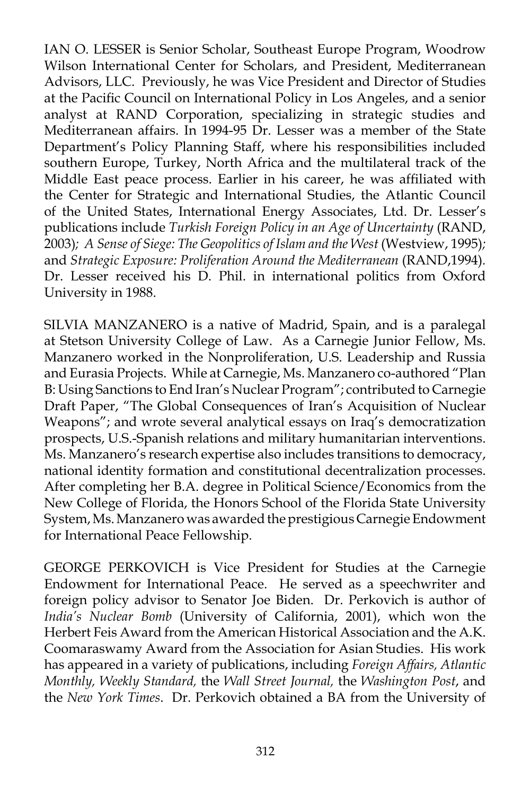IAN O. LESSER is Senior Scholar, Southeast Europe Program, Woodrow Wilson International Center for Scholars, and President, Mediterranean Advisors, LLC. Previously, he was Vice President and Director of Studies at the Pacific Council on International Policy in Los Angeles, and a senior analyst at RAND Corporation, specializing in strategic studies and Mediterranean affairs. In 1994-95 Dr. Lesser was a member of the State Department's Policy Planning Staff, where his responsibilities included southern Europe, Turkey, North Africa and the multilateral track of the Middle East peace process. Earlier in his career, he was affiliated with the Center for Strategic and International Studies, the Atlantic Council of the United States, International Energy Associates, Ltd. Dr. Lesser's publications include *Turkish Foreign Policy in an Age of Uncertainty* (RAND, 2003)*; A Sense of Siege: The Geopolitics of Islam and the West* (Westview, 1995)*;*  and *Strategic Exposure: Proliferation Around the Mediterranean* (RAND,1994)*.* Dr. Lesser received his D. Phil. in international politics from Oxford University in 1988.

SILVIA MANZANERO is a native of Madrid, Spain, and is a paralegal at Stetson University College of Law. As a Carnegie Junior Fellow, Ms. Manzanero worked in the Nonproliferation, U.S. Leadership and Russia and Eurasia Projects. While at Carnegie, Ms. Manzanero co-authored "Plan B: Using Sanctions to End Iran's Nuclear Program"; contributed to Carnegie Draft Paper, "The Global Consequences of Iran's Acquisition of Nuclear Weapons"; and wrote several analytical essays on Iraq's democratization prospects, U.S.-Spanish relations and military humanitarian interventions. Ms. Manzanero's research expertise also includes transitions to democracy, national identity formation and constitutional decentralization processes. After completing her B.A. degree in Political Science/Economics from the New College of Florida, the Honors School of the Florida State University System, Ms. Manzanero was awarded the prestigious Carnegie Endowment for International Peace Fellowship.

GEORGE PERKOVICH is Vice President for Studies at the Carnegie Endowment for International Peace. He served as a speechwriter and foreign policy advisor to Senator Joe Biden. Dr. Perkovich is author of *India's Nuclear Bomb* (University of California, 2001), which won the Herbert Feis Award from the American Historical Association and the A.K. Coomaraswamy Award from the Association for Asian Studies. His work has appeared in a variety of publications, including *Foreign Affairs, Atlantic Monthly, Weekly Standard,* the *Wall Street Journal,* the *Washington Post*, and the *New York Times*. Dr. Perkovich obtained a BA from the University of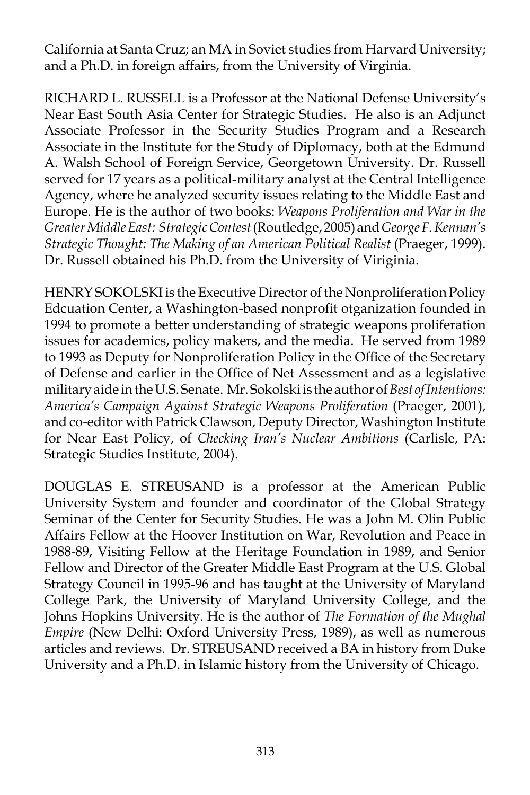California at Santa Cruz; an MA in Soviet studies from Harvard University; and a Ph.D. in foreign affairs, from the University of Virginia.

RICHARD L. RUSSELL is a Professor at the National Defense University's Near East South Asia Center for Strategic Studies. He also is an Adjunct Associate Professor in the Security Studies Program and a Research Associate in the Institute for the Study of Diplomacy, both at the Edmund A. Walsh School of Foreign Service, Georgetown University. Dr. Russell served for 17 years as a political-military analyst at the Central Intelligence Agency, where he analyzed security issues relating to the Middle East and Europe. He is the author of two books: *Weapons Proliferation and War in the Greater Middle East: Strategic Contest* (Routledge, 2005) and *George F. Kennan's Strategic Thought: The Making of an American Political Realist* (Praeger, 1999). Dr. Russell obtained his Ph.D. from the University of Viriginia.

HENRY SOKOLSKI is the Executive Director of the Nonproliferation Policy Edcuation Center, a Washington-based nonprofit otganization founded in 1994 to promote a better understanding of strategic weapons proliferation issues for academics, policy makers, and the media. He served from 1989 to 1993 as Deputy for Nonproliferation Policy in the Office of the Secretary of Defense and earlier in the Office of Net Assessment and as a legislative military aide in the U.S. Senate. Mr. Sokolski is the author of *Best of Intentions: America's Campaign Against Strategic Weapons Proliferation* (Praeger, 2001), and co-editor with Patrick Clawson, Deputy Director, Washington Institute for Near East Policy, of *Checking Iran's Nuclear Ambitions* (Carlisle, PA: Strategic Studies Institute, 2004).

DOUGLAS E. STREUSAND is a professor at the American Public University System and founder and coordinator of the Global Strategy Seminar of the Center for Security Studies. He was a John M. Olin Public Affairs Fellow at the Hoover Institution on War, Revolution and Peace in 1988-89, Visiting Fellow at the Heritage Foundation in 1989, and Senior Fellow and Director of the Greater Middle East Program at the U.S. Global Strategy Council in 1995-96 and has taught at the University of Maryland College Park, the University of Maryland University College, and the Johns Hopkins University. He is the author of *The Formation of the Mughal Empire* (New Delhi: Oxford University Press, 1989), as well as numerous articles and reviews. Dr. STREUSAND received a BA in history from Duke University and a Ph.D. in Islamic history from the University of Chicago.